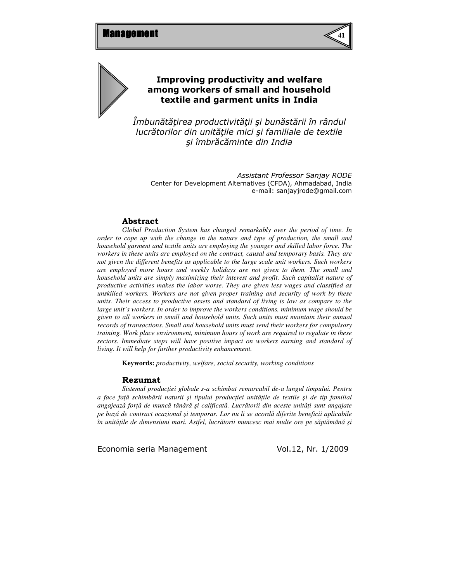



# Improving productivity and welfare among workers of small and household textile and garment units in India

Îmbunătăţirea productivităţii şi bunăstării în rândul lucrătorilor din unităţile mici şi familiale de textile şi îmbrăcăminte din India

Assistant Professor Sanjay RODE Center for Development Alternatives (CFDA), Ahmadabad, India e-mail: sanjayjrode@gmail.com

### Abstract

*Global Production System has changed remarkably over the period of time. In order to cope up with the change in the nature and type of production, the small and household garment and textile units are employing the younger and skilled labor force. The workers in these units are employed on the contract, causal and temporary basis. They are not given the different benefits as applicable to the large scale unit workers. Such workers are employed more hours and weekly holidays are not given to them. The small and household units are simply maximizing their interest and profit. Such capitalist nature of productive activities makes the labor worse. They are given less wages and classified as unskilled workers. Workers are not given proper training and security of work by these units. Their access to productive assets and standard of living is low as compare to the large unit's workers. In order to improve the workers conditions, minimum wage should be given to all workers in small and household units. Such units must maintain their annual records of transactions. Small and household units must send their workers for compulsory training. Work place environment, minimum hours of work are required to regulate in these sectors. Immediate steps will have positive impact on workers earning and standard of living. It will help for further productivity enhancement.*

**Keywords:** *productivity, welfare, social security, working conditions* 

#### Rezumat

*Sistemul produc*ţ*iei globale s-a schimbat remarcabil de-a lungul timpului. Pentru a face fa*ţă *schimb*ă*rii naturii* ş*i tipului produc*ţ*iei unit*ăţ*ile de textile* ş*i de tip familial angajeaz*ă *for*ţă *de munc*ă *tân*ă*r*ă ş*i calificat*ă*. Lucr*ă*torii din aceste unit*ăţ*i sunt angajate pe baz*ă *de contract ocazional* ş*i temporar. Lor nu li se acord*ă *diferite beneficii aplicabile în unit*ăţ*ile de dimensiuni mari. Astfel, lucr*ă*torii muncesc mai multe ore pe s*ă*pt*ă*mân*ă ş*i*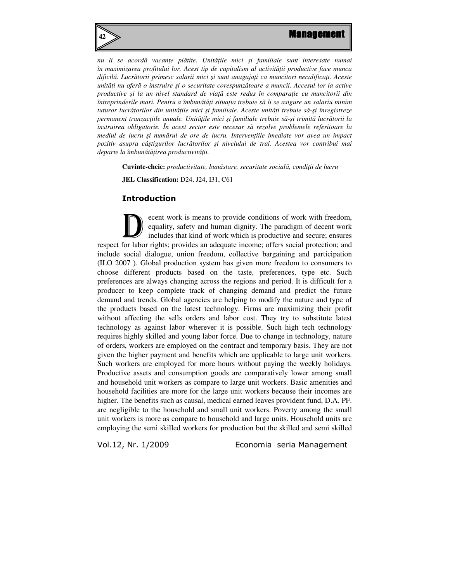

*nu li se acord*ă *vacan*ţ*e pl*ă*tite. Unit*ăţ*ile mici* ş*i familiale sunt interesate numai în maximizarea profitului lor. Acest tip de capitalism al activit*ăţ*ii productive face munca dificil*ă*. Lucr*ă*torii primesc salarii mici* ş*i sunt anagaja*ţ*i ca muncitori necalifica*ţ*i. Aceste unit*ăţ*i nu ofer*ă *o instruire* ş*i o securitate corespunz*ă*toare a muncii. Accesul lor la active productive* ş*i la un nivel standard de via*ţă *este redus în compara*ţ*ie cu muncitorii din întreprinderile mari. Pentru a îmbun*ă*t*ăţ*i situa*ţ*ia trebuie s*ă *li se asigure un salariu minim tuturor lucr*ă*torilor din unit*ăţ*ile mici* ş*i familiale. Aceste unit*ăţ*i trebuie s*ă*-*ş*i înregistreze permanent tranzac*ţ*iile anuale. Unit*ăţ*ile mici* ş*i familiale trebuie s*ă*-*ş*i trimit*ă *lucr*ă*torii la instruirea obligatorie. În acest sector este necesar s*ă *rezolve problemele referitoare la mediul de lucru* ş*i num*ă*rul de ore de lucru. Interven*ţ*iile imediate vor avea un impact pozitiv asupra câ*ş*tigurilor lucr*ă*torilor* ş*i nivelului de trai. Acestea vor contribui mai departe la îmbun*ă*t*ăţ*irea productivit*ăţ*ii.* 

**Cuvinte-cheie:** *productivitate, bun*ă*stare, securitate social*ă*, condi*ţ*ii de lucru* 

**JEL Classification:** D24, J24, I31, C61

# Introduction

ecent work is means to provide conditions of work with freedom, equality, safety and human dignity. The paradigm of decent work includes that kind of work which is productive and secure; ensures respect for labor rights; provides an adequate income; offers social protection; and include social dialogue, union freedom, collective bargaining and participation (ILO 2007 ). Global production system has given more freedom to consumers to choose different products based on the taste, preferences, type etc. Such preferences are always changing across the regions and period. It is difficult for a producer to keep complete track of changing demand and predict the future demand and trends. Global agencies are helping to modify the nature and type of the products based on the latest technology. Firms are maximizing their profit without affecting the sells orders and labor cost. They try to substitute latest technology as against labor wherever it is possible. Such high tech technology requires highly skilled and young labor force. Due to change in technology, nature of orders, workers are employed on the contract and temporary basis. They are not given the higher payment and benefits which are applicable to large unit workers. Such workers are employed for more hours without paying the weekly holidays. Productive assets and consumption goods are comparatively lower among small and household unit workers as compare to large unit workers. Basic amenities and household facilities are more for the large unit workers because their incomes are higher. The benefits such as causal, medical earned leaves provident fund, D.A. PF. are negligible to the household and small unit workers. Poverty among the small unit workers is more as compare to household and large units. Household units are employing the semi skilled workers for production but the skilled and semi skilled D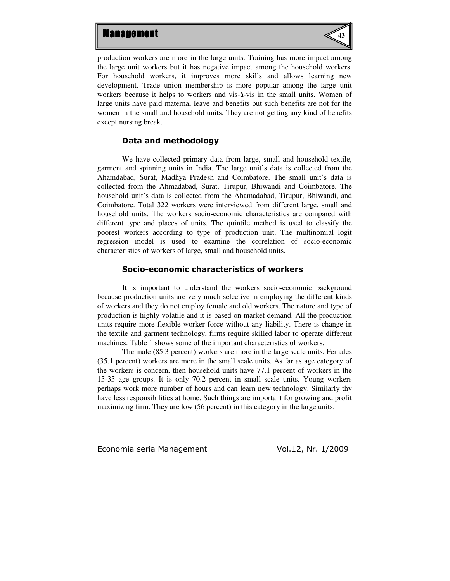

production workers are more in the large units. Training has more impact among the large unit workers but it has negative impact among the household workers. For household workers, it improves more skills and allows learning new development. Trade union membership is more popular among the large unit workers because it helps to workers and vis-à-vis in the small units. Women of large units have paid maternal leave and benefits but such benefits are not for the women in the small and household units. They are not getting any kind of benefits except nursing break.

#### Data and methodology

We have collected primary data from large, small and household textile, garment and spinning units in India. The large unit's data is collected from the Ahamdabad, Surat, Madhya Pradesh and Coimbatore. The small unit's data is collected from the Ahmadabad, Surat, Tirupur, Bhiwandi and Coimbatore. The household unit's data is collected from the Ahamadabad, Tirupur, Bhiwandi, and Coimbatore. Total 322 workers were interviewed from different large, small and household units. The workers socio-economic characteristics are compared with different type and places of units. The quintile method is used to classify the poorest workers according to type of production unit. The multinomial logit regression model is used to examine the correlation of socio-economic characteristics of workers of large, small and household units.

### Socio-economic characteristics of workers

It is important to understand the workers socio-economic background because production units are very much selective in employing the different kinds of workers and they do not employ female and old workers. The nature and type of production is highly volatile and it is based on market demand. All the production units require more flexible worker force without any liability. There is change in the textile and garment technology, firms require skilled labor to operate different machines. Table 1 shows some of the important characteristics of workers.

The male (85.3 percent) workers are more in the large scale units. Females (35.1 percent) workers are more in the small scale units. As far as age category of the workers is concern, then household units have 77.1 percent of workers in the 15-35 age groups. It is only 70.2 percent in small scale units. Young workers perhaps work more number of hours and can learn new technology. Similarly thy have less responsibilities at home. Such things are important for growing and profit maximizing firm. They are low (56 percent) in this category in the large units.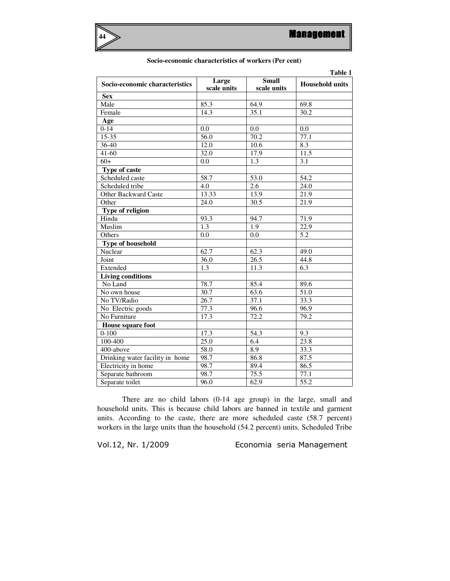

|  | Socio-economic characteristics of workers (Per cent) |  |  |
|--|------------------------------------------------------|--|--|
|--|------------------------------------------------------|--|--|

| Table 1                         |                      |                             |                        |  |
|---------------------------------|----------------------|-----------------------------|------------------------|--|
| Socio-economic characteristics  | Large<br>scale units | <b>Small</b><br>scale units | <b>Household units</b> |  |
| <b>Sex</b>                      |                      |                             |                        |  |
| Male                            | 85.3                 | 64.9                        | 69.8                   |  |
| Female                          | 14.3                 | 35.1                        | 30.2                   |  |
| Age                             |                      |                             |                        |  |
| $0 - 14$                        | 0.0                  | 0.0                         | 0.0                    |  |
| $15 - 35$                       | 56.0                 | 70.2                        | 77.1                   |  |
| $36 - 40$                       | 12.0                 | 10.6                        | 8.3                    |  |
| $41 - 60$                       | 32.0                 | 17.9                        | 11.5                   |  |
| $60+$                           | 0.0                  | 1.3                         | 3.1                    |  |
| <b>Type of caste</b>            |                      |                             |                        |  |
| Scheduled caste                 | $\overline{58.7}$    | $\overline{53.0}$           | $\overline{54.2}$      |  |
| Scheduled tribe                 | 4.0                  | 2.6                         | 24.0                   |  |
| <b>Other Backward Caste</b>     | 13.33                | 13.9                        | 21.9                   |  |
| Other                           | 24.0                 | 30.5                        | 21.9                   |  |
| Type of religion                |                      |                             |                        |  |
| Hindu                           | 93.3                 | 94.7                        | 71.9                   |  |
| Muslim                          | 1.3                  | $\overline{1.9}$            | 22.9                   |  |
| Others                          | 0.0                  | 0.0                         | 5.2                    |  |
| <b>Type of household</b>        |                      |                             |                        |  |
| Nuclear                         | 62.7                 | 62.3                        | 49.0                   |  |
| Joint                           | 36.0                 | 26.5                        | 44.8                   |  |
| Extended                        | 1.3                  | 11.3                        | $\overline{6.3}$       |  |
| <b>Living conditions</b>        |                      |                             |                        |  |
| No Land                         | 78.7                 | 85.4                        | 89.6                   |  |
| No own house                    | 30.7                 | 63.6                        | $\overline{51.0}$      |  |
| No TV/Radio                     | 26.7                 | 37.1                        | 33.3                   |  |
| No Electric goods               | 77.3                 | 96.6                        | 96.9                   |  |
| No Furniture                    | 17.3                 | 72.2                        | 79.2                   |  |
| House square foot               |                      |                             |                        |  |
| $0 - 100$                       | 17.3                 | 54.3                        | 9.3                    |  |
| 100-400                         | 25.0                 | 6.4                         | 23.8                   |  |
| 400-above                       | 58.0                 | 8.9                         | 33.3                   |  |
| Drinking water facility in home | 98.7                 | 86.8                        | 87.5                   |  |
| Electricity in home             | 98.7                 | 89.4                        | 86.5                   |  |
| Separate bathroom               | 98.7                 | 75.5                        | 77.1                   |  |
| Separate toilet                 | 96.0                 | 62.9                        | $\overline{55.2}$      |  |

There are no child labors (0-14 age group) in the large, small and household units. This is because child labors are banned in textile and garment units. According to the caste, there are more scheduled caste (58.7 percent) workers in the large units than the household (54.2 percent) units. Scheduled Tribe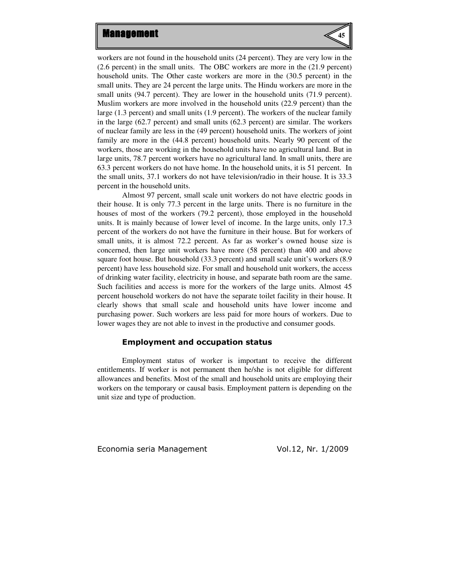

workers are not found in the household units (24 percent). They are very low in the (2.6 percent) in the small units. The OBC workers are more in the (21.9 percent) household units. The Other caste workers are more in the (30.5 percent) in the small units. They are 24 percent the large units. The Hindu workers are more in the small units (94.7 percent). They are lower in the household units (71.9 percent). Muslim workers are more involved in the household units (22.9 percent) than the large (1.3 percent) and small units (1.9 percent). The workers of the nuclear family in the large (62.7 percent) and small units (62.3 percent) are similar. The workers of nuclear family are less in the (49 percent) household units. The workers of joint family are more in the (44.8 percent) household units. Nearly 90 percent of the workers, those are working in the household units have no agricultural land. But in large units, 78.7 percent workers have no agricultural land. In small units, there are 63.3 percent workers do not have home. In the household units, it is 51 percent. In the small units, 37.1 workers do not have television/radio in their house. It is 33.3 percent in the household units.

 Almost 97 percent, small scale unit workers do not have electric goods in their house. It is only 77.3 percent in the large units. There is no furniture in the houses of most of the workers (79.2 percent), those employed in the household units. It is mainly because of lower level of income. In the large units, only 17.3 percent of the workers do not have the furniture in their house. But for workers of small units, it is almost 72.2 percent. As far as worker's owned house size is concerned, then large unit workers have more (58 percent) than 400 and above square foot house. But household (33.3 percent) and small scale unit's workers (8.9 percent) have less household size. For small and household unit workers, the access of drinking water facility, electricity in house, and separate bath room are the same. Such facilities and access is more for the workers of the large units. Almost 45 percent household workers do not have the separate toilet facility in their house. It clearly shows that small scale and household units have lower income and purchasing power. Such workers are less paid for more hours of workers. Due to lower wages they are not able to invest in the productive and consumer goods.

#### Employment and occupation status

Employment status of worker is important to receive the different entitlements. If worker is not permanent then he/she is not eligible for different allowances and benefits. Most of the small and household units are employing their workers on the temporary or causal basis. Employment pattern is depending on the unit size and type of production.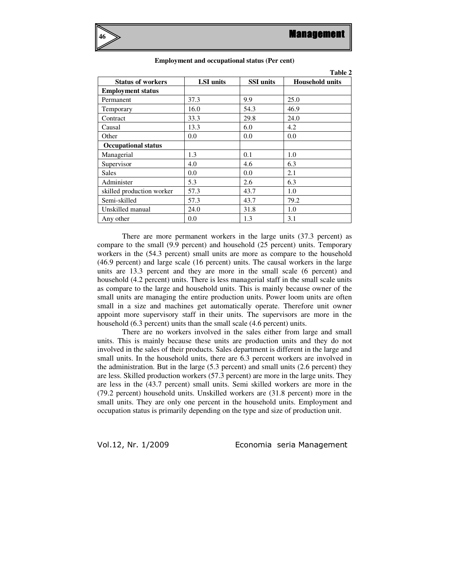**Table 2** 



|                            |                  |                  | 1 adie 2               |
|----------------------------|------------------|------------------|------------------------|
| <b>Status of workers</b>   | <b>LSI</b> units | <b>SSI</b> units | <b>Household units</b> |
| <b>Employment status</b>   |                  |                  |                        |
| Permanent                  | 37.3             | 9.9              | 25.0                   |
| Temporary                  | 16.0             | 54.3             | 46.9                   |
| Contract                   | 33.3             | 29.8             | 24.0                   |
| Causal                     | 13.3             | 6.0              | 4.2                    |
| Other                      | 0.0              | 0.0              | 0.0                    |
| <b>Occupational status</b> |                  |                  |                        |
| Managerial                 | 1.3              | 0.1              | 1.0                    |
| Supervisor                 | 4.0              | 4.6              | 6.3                    |
| Sales                      | 0.0              | 0.0              | 2.1                    |
| Administer                 | 5.3              | 2.6              | 6.3                    |
| skilled production worker  | 57.3             | 43.7             | 1.0                    |
| Semi-skilled               | 57.3             | 43.7             | 79.2                   |
| Unskilled manual           | 24.0             | 31.8             | 1.0                    |
| Any other                  | 0.0              | 1.3              | 3.1                    |

#### **Employment and occupational status (Per cent)**

There are more permanent workers in the large units (37.3 percent) as compare to the small (9.9 percent) and household (25 percent) units. Temporary workers in the (54.3 percent) small units are more as compare to the household (46.9 percent) and large scale (16 percent) units. The causal workers in the large units are 13.3 percent and they are more in the small scale (6 percent) and household (4.2 percent) units. There is less managerial staff in the small scale units as compare to the large and household units. This is mainly because owner of the small units are managing the entire production units. Power loom units are often small in a size and machines get automatically operate. Therefore unit owner appoint more supervisory staff in their units. The supervisors are more in the household (6.3 percent) units than the small scale (4.6 percent) units.

 There are no workers involved in the sales either from large and small units. This is mainly because these units are production units and they do not involved in the sales of their products. Sales department is different in the large and small units. In the household units, there are 6.3 percent workers are involved in the administration. But in the large (5.3 percent) and small units (2.6 percent) they are less. Skilled production workers (57.3 percent) are more in the large units. They are less in the (43.7 percent) small units. Semi skilled workers are more in the (79.2 percent) household units. Unskilled workers are (31.8 percent) more in the small units. They are only one percent in the household units. Employment and occupation status is primarily depending on the type and size of production unit.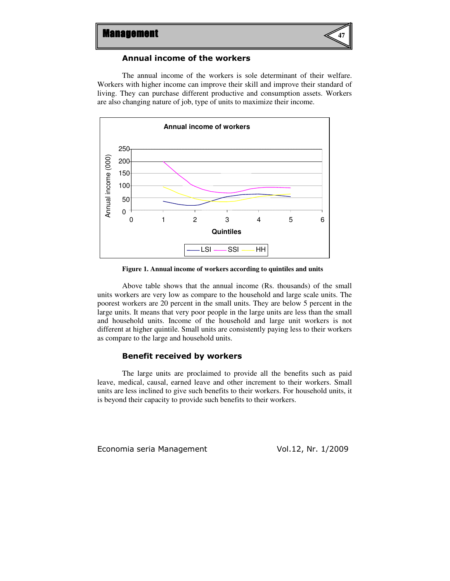

## Annual income of the workers

The annual income of the workers is sole determinant of their welfare. Workers with higher income can improve their skill and improve their standard of living. They can purchase different productive and consumption assets. Workers are also changing nature of job, type of units to maximize their income.



**Figure 1. Annual income of workers according to quintiles and units** 

Above table shows that the annual income (Rs. thousands) of the small units workers are very low as compare to the household and large scale units. The poorest workers are 20 percent in the small units. They are below 5 percent in the large units. It means that very poor people in the large units are less than the small and household units. Income of the household and large unit workers is not different at higher quintile. Small units are consistently paying less to their workers as compare to the large and household units.

#### Benefit received by workers

The large units are proclaimed to provide all the benefits such as paid leave, medical, causal, earned leave and other increment to their workers. Small units are less inclined to give such benefits to their workers. For household units, it is beyond their capacity to provide such benefits to their workers.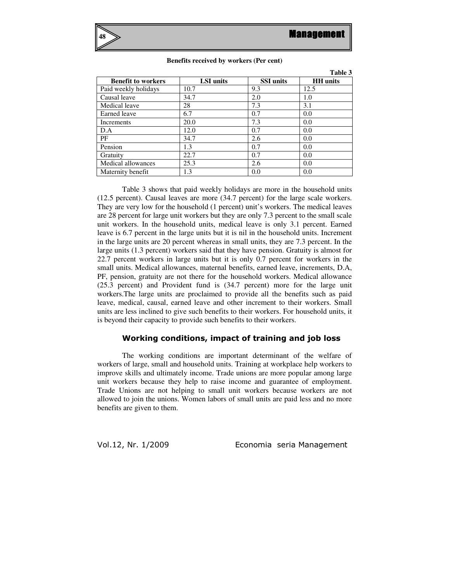**Table 3** 



|                           |                  |                  | Table 5         |
|---------------------------|------------------|------------------|-----------------|
| <b>Benefit to workers</b> | <b>LSI</b> units | <b>SSI</b> units | <b>HH</b> units |
| Paid weekly holidays      | 10.7             | 9.3              | 12.5            |
| Causal leave              | 34.7             | 2.0              | 1.0             |
| Medical leave             | 28               | 7.3              | 3.1             |
| Earned leave              | 6.7              | 0.7              | 0.0             |
| Increments                | 20.0             | 7.3              | 0.0             |
| D.A                       | 12.0             | 0.7              | 0.0             |
| PF                        | 34.7             | 2.6              | 0.0             |
| Pension                   | 1.3              | 0.7              | 0.0             |
| Gratuity                  | 22.7             | 0.7              | 0.0             |
| Medical allowances        | 25.3             | 2.6              | 0.0             |
| Maternity benefit         | 1.3              | 0.0              | 0.0             |

#### **Benefits received by workers (Per cent)**

Table 3 shows that paid weekly holidays are more in the household units (12.5 percent). Causal leaves are more (34.7 percent) for the large scale workers. They are very low for the household (1 percent) unit's workers. The medical leaves are 28 percent for large unit workers but they are only 7.3 percent to the small scale unit workers. In the household units, medical leave is only 3.1 percent. Earned leave is 6.7 percent in the large units but it is nil in the household units. Increment in the large units are 20 percent whereas in small units, they are 7.3 percent. In the large units (1.3 percent) workers said that they have pension. Gratuity is almost for 22.7 percent workers in large units but it is only 0.7 percent for workers in the small units. Medical allowances, maternal benefits, earned leave, increments, D.A, PF, pension, gratuity are not there for the household workers. Medical allowance (25.3 percent) and Provident fund is (34.7 percent) more for the large unit workers.The large units are proclaimed to provide all the benefits such as paid leave, medical, causal, earned leave and other increment to their workers. Small units are less inclined to give such benefits to their workers. For household units, it is beyond their capacity to provide such benefits to their workers.

## Working conditions, impact of training and job loss

The working conditions are important determinant of the welfare of workers of large, small and household units. Training at workplace help workers to improve skills and ultimately income. Trade unions are more popular among large unit workers because they help to raise income and guarantee of employment. Trade Unions are not helping to small unit workers because workers are not allowed to join the unions. Women labors of small units are paid less and no more benefits are given to them.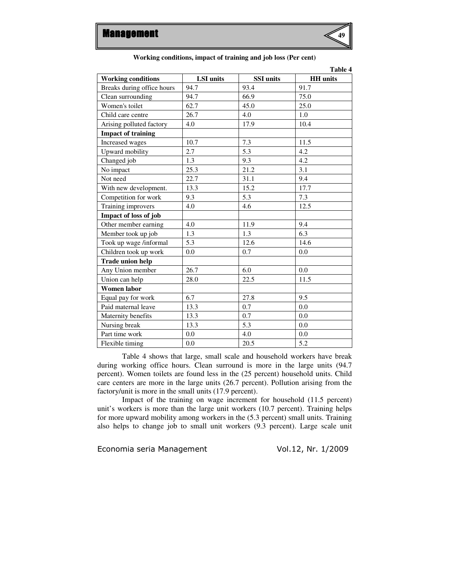

| Table 4                    |                  |                  |                 |  |
|----------------------------|------------------|------------------|-----------------|--|
| <b>Working conditions</b>  | <b>LSI</b> units | <b>SSI</b> units | <b>HH</b> units |  |
| Breaks during office hours | 94.7             | 93.4             | 91.7            |  |
| Clean surrounding          | 94.7             | 66.9             | 75.0            |  |
| Women's toilet             | 62.7             | 45.0             | 25.0            |  |
| Child care centre          | 26.7             | 4.0              | 1.0             |  |
| Arising polluted factory   | 4.0              | 17.9             | 10.4            |  |
| <b>Impact of training</b>  |                  |                  |                 |  |
| Increased wages            | 10.7             | 7.3              | 11.5            |  |
| Upward mobility            | 2.7              | 5.3              | 4.2             |  |
| Changed job                | 1.3              | 9.3              | 4.2             |  |
| No impact                  | 25.3             | 21.2             | 3.1             |  |
| Not need                   | 22.7             | 31.1             | 9.4             |  |
| With new development.      | 13.3             | 15.2             | 17.7            |  |
| Competition for work       | 9.3              | 5.3              | 7.3             |  |
| Training improvers         | 4.0              | 4.6              | 12.5            |  |
| Impact of loss of job      |                  |                  |                 |  |
| Other member earning       | 4.0              | 11.9             | 9.4             |  |
| Member took up job         | 1.3              | 1.3              | 6.3             |  |
| Took up wage /informal     | 5.3              | 12.6             | 14.6            |  |
| Children took up work      | 0.0              | 0.7              | 0.0             |  |
| <b>Trade union help</b>    |                  |                  |                 |  |
| Any Union member           | 26.7             | 6.0              | 0.0             |  |
| Union can help             | 28.0             | 22.5             | 11.5            |  |
| <b>Women labor</b>         |                  |                  |                 |  |
| Equal pay for work         | 6.7              | 27.8             | 9.5             |  |
| Paid maternal leave        | 13.3             | 0.7              | 0.0             |  |
| Maternity benefits         | 13.3             | 0.7              | 0.0             |  |
| Nursing break              | 13.3             | 5.3              | 0.0             |  |
| Part time work             | 0.0              | 4.0              | 0.0             |  |
| Flexible timing            | 0.0              | 20.5             | 5.2             |  |

#### **Working conditions, impact of training and job loss (Per cent)**

Table 4 shows that large, small scale and household workers have break during working office hours. Clean surround is more in the large units (94.7 percent). Women toilets are found less in the (25 percent) household units. Child care centers are more in the large units (26.7 percent). Pollution arising from the factory/unit is more in the small units (17.9 percent).

Impact of the training on wage increment for household (11.5 percent) unit's workers is more than the large unit workers (10.7 percent). Training helps for more upward mobility among workers in the (5.3 percent) small units. Training also helps to change job to small unit workers (9.3 percent). Large scale unit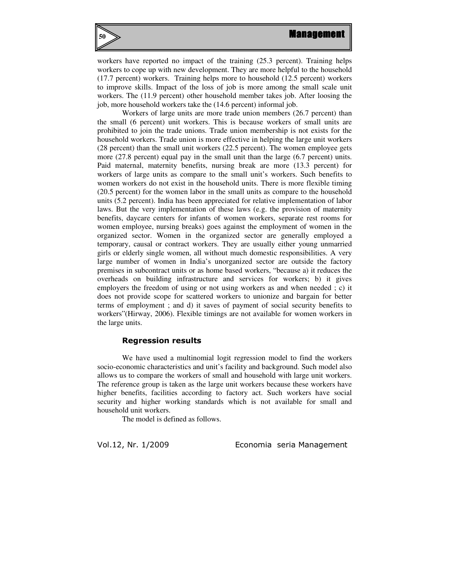

workers have reported no impact of the training (25.3 percent). Training helps workers to cope up with new development. They are more helpful to the household (17.7 percent) workers. Training helps more to household (12.5 percent) workers to improve skills. Impact of the loss of job is more among the small scale unit workers. The (11.9 percent) other household member takes job. After loosing the job, more household workers take the (14.6 percent) informal job.

Workers of large units are more trade union members (26.7 percent) than the small (6 percent) unit workers. This is because workers of small units are prohibited to join the trade unions. Trade union membership is not exists for the household workers. Trade union is more effective in helping the large unit workers (28 percent) than the small unit workers (22.5 percent). The women employee gets more (27.8 percent) equal pay in the small unit than the large (6.7 percent) units. Paid maternal, maternity benefits, nursing break are more (13.3 percent) for workers of large units as compare to the small unit's workers. Such benefits to women workers do not exist in the household units. There is more flexible timing (20.5 percent) for the women labor in the small units as compare to the household units (5.2 percent). India has been appreciated for relative implementation of labor laws. But the very implementation of these laws (e.g. the provision of maternity benefits, daycare centers for infants of women workers, separate rest rooms for women employee, nursing breaks) goes against the employment of women in the organized sector. Women in the organized sector are generally employed a temporary, causal or contract workers. They are usually either young unmarried girls or elderly single women, all without much domestic responsibilities. A very large number of women in India's unorganized sector are outside the factory premises in subcontract units or as home based workers, "because a) it reduces the overheads on building infrastructure and services for workers; b) it gives employers the freedom of using or not using workers as and when needed ; c) it does not provide scope for scattered workers to unionize and bargain for better terms of employment ; and d) it saves of payment of social security benefits to workers"(Hirway, 2006). Flexible timings are not available for women workers in the large units.

#### Regression results

We have used a multinomial logit regression model to find the workers socio-economic characteristics and unit's facility and background. Such model also allows us to compare the workers of small and household with large unit workers. The reference group is taken as the large unit workers because these workers have higher benefits, facilities according to factory act. Such workers have social security and higher working standards which is not available for small and household unit workers.

The model is defined as follows.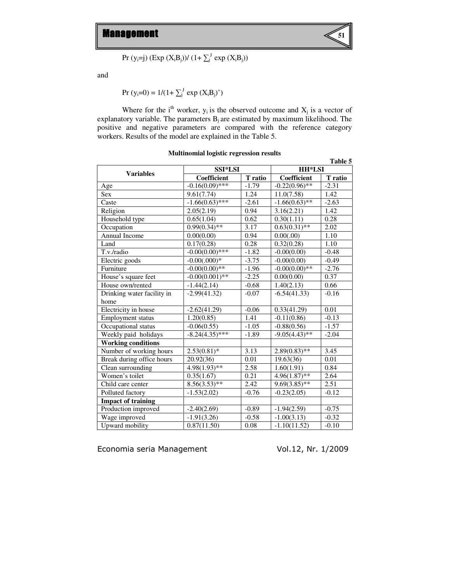

$$
Pr (y_i = j) (Exp (X_i B_j)) / (1 + \sum_j^J exp (X_i B_j))
$$

and

$$
Pr (y_i=0) = 1/(1+\sum_j^J exp (X_iB_j)')
$$

Where for the i<sup>th</sup> worker,  $y_i$  is the observed outcome and  $X_j$  is a vector of explanatory variable. The parameters  $B_j$  are estimated by maximum likelihood. The positive and negative parameters are compared with the reference category workers. Results of the model are explained in the Table 5.

| Table 5                    |                                    |         |                    |         |
|----------------------------|------------------------------------|---------|--------------------|---------|
|                            | <b>SSI*LSI</b><br><b>Variables</b> |         | <b>HH*LSI</b>      |         |
|                            | Coefficient                        | T ratio | <b>Coefficient</b> | T ratio |
| Age                        | $-0.16(0.09)*$ ***                 | $-1.79$ | $-0.22(0.96)$ **   | $-2.31$ |
| <b>Sex</b>                 | 9.61(7.74)                         | 1.24    | 11.0(7.58)         | 1.42    |
| Caste                      | $-1.66(0.63)$ ***                  | $-2.61$ | $-1.66(0.63)$ **   | $-2.63$ |
| Religion                   | 2.05(2.19)                         | 0.94    | 3.16(2.21)         | 1.42    |
| Household type             | 0.65(1.04)                         | 0.62    | 0.30(1.11)         | 0.28    |
| Occupation                 | $0.99(0.34)$ **                    | 3.17    | $0.63(0.31)$ **    | 2.02    |
| Annual Income              | 0.00(0.00)                         | 0.94    | 0.00(.00)          | 1.10    |
| Land                       | 0.17(0.28)                         | 0.28    | 0.32(0.28)         | 1.10    |
| T.v./radio                 | $-0.00(0.00)***$                   | $-1.82$ | $-0.00(0.00)$      | $-0.48$ |
| Electric goods             | $-0.00(.000)*$                     | $-3.75$ | $-0.00(0.00)$      | $-0.49$ |
| Furniture                  | $-0.00(0.00)**$                    | $-1.96$ | $-0.00(0.00)**$    | $-2.76$ |
| House's square feet        | $-0.00(0.001)$ **                  | $-2.25$ | 0.00(0.00)         | 0.37    |
| House own/rented           | $-1.44(2.14)$                      | $-0.68$ | 1.40(2.13)         | 0.66    |
| Drinking water facility in | $-2.99(41.32)$                     | $-0.07$ | $-6.54(41.33)$     | $-0.16$ |
| home                       |                                    |         |                    |         |
| Electricity in house       | $-2.62(41.29)$                     | $-0.06$ | 0.33(41.29)        | 0.01    |
| <b>Employment status</b>   | 1.20(0.85)                         | 1.41    | $-0.11(0.86)$      | $-0.13$ |
| Occupational status        | $-0.06(0.55)$                      | $-1.05$ | $-0.88(0.56)$      | $-1.57$ |
| Weekly paid holidays       | $-8.24(4.35)$ ***                  | $-1.89$ | $-9.05(4.43)$ **   | $-2.04$ |
| <b>Working conditions</b>  |                                    |         |                    |         |
| Number of working hours    | $2.53(0.81)$ *                     | 3.13    | $2.89(0.83)$ **    | 3.45    |
| Break during office hours  | 20.92(36)                          | 0.01    | 19.63(36)          | 0.01    |
| Clean surrounding          | $4.98(1.93)*$                      | 2.58    | 1.60(1.91)         | 0.84    |
| Women's toilet             | 0.35(1.67)                         | 0.21    | $4.96(1.87)$ **    | 2.64    |
| Child care center          | $8.56(3.53)*$                      | 2.42    | $9.69(3.85)$ **    | 2.51    |
| Polluted factory           | $-1.53(2.02)$                      | $-0.76$ | $-0.23(2.05)$      | $-0.12$ |
| <b>Impact of training</b>  |                                    |         |                    |         |
| Production improved        | $-2.40(2.69)$                      | $-0.89$ | $-1.94(2.59)$      | $-0.75$ |
| Wage improved              | $-1.91(3.26)$                      | $-0.58$ | $-1.00(3.13)$      | $-0.32$ |
| Upward mobility            | 0.87(11.50)                        | 0.08    | $-1.10(11.52)$     | $-0.10$ |

### **Multinomial logistic regression results**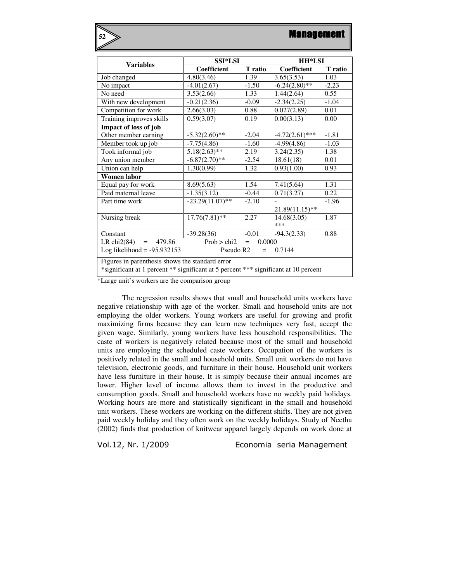| <b>Variables</b>                                                                    | <b>SSI*LSI</b>     |         | <b>HH*LSI</b>     |         |  |
|-------------------------------------------------------------------------------------|--------------------|---------|-------------------|---------|--|
|                                                                                     | Coefficient        | T ratio | Coefficient       | T ratio |  |
| Job changed                                                                         | 4.80(3.46)         | 1.39    | 3.65(3.53)        | 1.03    |  |
| No impact                                                                           | $-4.01(2.67)$      | $-1.50$ | $-6.24(2.80)$ **  | $-2.23$ |  |
| No need                                                                             | 3.53(2.66)         | 1.33    | 1.44(2.64)        | 0.55    |  |
| With new development                                                                | $-0.21(2.36)$      | $-0.09$ | $-2.34(2.25)$     | $-1.04$ |  |
| Competition for work                                                                | 2.66(3.03)         | 0.88    | 0.027(2.89)       | 0.01    |  |
| Training improves skills                                                            | 0.59(3.07)         | 0.19    | 0.00(3.13)        | 0.00    |  |
| Impact of loss of job                                                               |                    |         |                   |         |  |
| Other member earning                                                                | $-5.32(2.60)$ **   | $-2.04$ | $-4.72(2.61)$ *** | $-1.81$ |  |
| Member took up job                                                                  | $-7.75(4.86)$      | $-1.60$ | $-4.99(4.86)$     | $-1.03$ |  |
| Took informal job                                                                   | $5.18(2.63)$ **    | 2.19    | 3.24(2.35)        | 1.38    |  |
| Any union member                                                                    | $-6.87(2.70)$ **   | $-2.54$ | 18.61(18)         | 0.01    |  |
| Union can help                                                                      | 1.30(0.99)         | 1.32    | 0.93(1.00)        | 0.93    |  |
| Women labor                                                                         |                    |         |                   |         |  |
| Equal pay for work                                                                  | 8.69(5.63)         | 1.54    | 7.41(5.64)        | 1.31    |  |
| Paid maternal leave                                                                 | $-1.35(3.12)$      | $-0.44$ | 0.71(3.27)        | 0.22    |  |
| Part time work                                                                      | $-23.29(11.07)$ ** | $-2.10$ |                   | $-1.96$ |  |
|                                                                                     |                    |         | $21.89(11.15)$ ** |         |  |
| Nursing break                                                                       | $17.76(7.81)$ **   | 2.27    | 14.68(3.05)       | 1.87    |  |
|                                                                                     |                    |         | ***               |         |  |
| Constant                                                                            | $-39.28(36)$       | $-0.01$ | $-94.3(2.33)$     | 0.88    |  |
| Prob > chi2<br>479.86<br>0.0000<br>LR chi $2(84)$<br>$=$<br>$=$                     |                    |         |                   |         |  |
| Log likelihood = $-95.932153$<br>Pseudo R <sub>2</sub><br>0.7144<br>$=$             |                    |         |                   |         |  |
| Figures in parenthesis shows the standard error                                     |                    |         |                   |         |  |
| *significant at 1 percent ** significant at 5 percent *** significant at 10 percent |                    |         |                   |         |  |

\*Large unit's workers are the comparison group

**52**

The regression results shows that small and household units workers have negative relationship with age of the worker. Small and household units are not employing the older workers. Young workers are useful for growing and profit maximizing firms because they can learn new techniques very fast, accept the given wage. Similarly, young workers have less household responsibilities. The caste of workers is negatively related because most of the small and household units are employing the scheduled caste workers. Occupation of the workers is positively related in the small and household units. Small unit workers do not have television, electronic goods, and furniture in their house. Household unit workers have less furniture in their house. It is simply because their annual incomes are lower. Higher level of income allows them to invest in the productive and consumption goods. Small and household workers have no weekly paid holidays. Working hours are more and statistically significant in the small and household unit workers. These workers are working on the different shifts. They are not given paid weekly holiday and they often work on the weekly holidays. Study of Neetha (2002) finds that production of knitwear apparel largely depends on work done at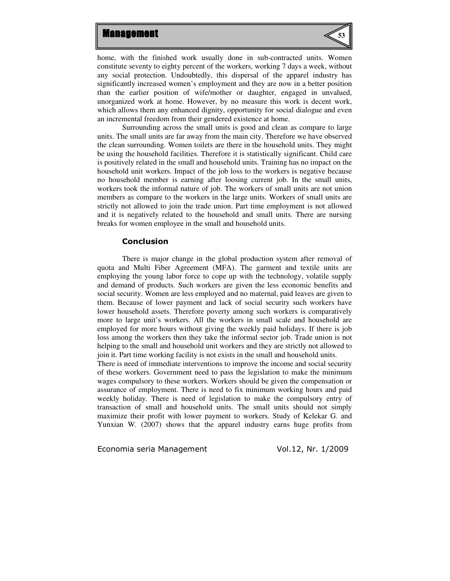

home, with the finished work usually done in sub-contracted units. Women constitute seventy to eighty percent of the workers, working 7 days a week, without any social protection. Undoubtedly, this dispersal of the apparel industry has significantly increased women's employment and they are now in a better position than the earlier position of wife/mother or daughter, engaged in unvalued, unorganized work at home. However, by no measure this work is decent work, which allows them any enhanced dignity, opportunity for social dialogue and even an incremental freedom from their gendered existence at home.

Surrounding across the small units is good and clean as compare to large units. The small units are far away from the main city. Therefore we have observed the clean surrounding. Women toilets are there in the household units. They might be using the household facilities. Therefore it is statistically significant. Child care is positively related in the small and household units. Training has no impact on the household unit workers. Impact of the job loss to the workers is negative because no household member is earning after loosing current job. In the small units, workers took the informal nature of job. The workers of small units are not union members as compare to the workers in the large units. Workers of small units are strictly not allowed to join the trade union. Part time employment is not allowed and it is negatively related to the household and small units. There are nursing breaks for women employee in the small and household units.

#### Conclusion

There is major change in the global production system after removal of quota and Multi Fiber Agreement (MFA). The garment and textile units are employing the young labor force to cope up with the technology, volatile supply and demand of products. Such workers are given the less economic benefits and social security. Women are less employed and no maternal, paid leaves are given to them. Because of lower payment and lack of social security such workers have lower household assets. Therefore poverty among such workers is comparatively more to large unit's workers. All the workers in small scale and household are employed for more hours without giving the weekly paid holidays. If there is job loss among the workers then they take the informal sector job. Trade union is not helping to the small and household unit workers and they are strictly not allowed to join it. Part time working facility is not exists in the small and household units.

There is need of immediate interventions to improve the income and social security of these workers. Government need to pass the legislation to make the minimum wages compulsory to these workers. Workers should be given the compensation or assurance of employment. There is need to fix minimum working hours and paid weekly holiday. There is need of legislation to make the compulsory entry of transaction of small and household units. The small units should not simply maximize their profit with lower payment to workers. Study of Kelekar G. and Yunxian W. (2007) shows that the apparel industry earns huge profits from